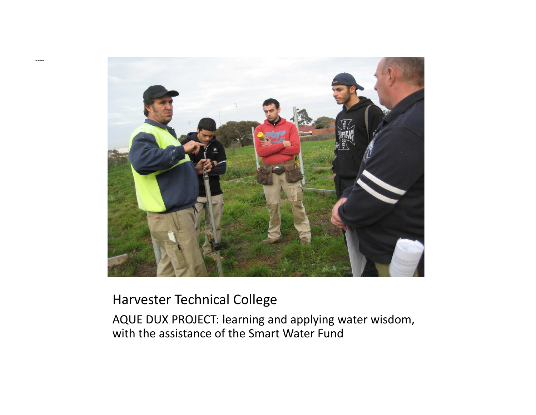

#### Harvester Technical College

----

AQUE DUX PROJECT: learning and applying water wisdom, with the assistance of the Smart Water Fund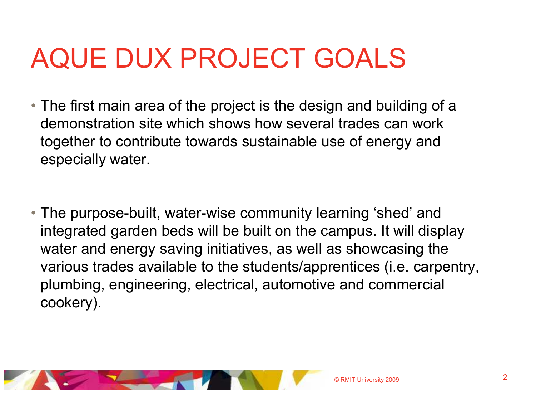- The first main area of the project is the design and building of a demonstration site which shows how several trades can work together to contribute towards sustainable use of energy and especially water.
- The purpose-built, water-wise community learning 'shed' and integrated garden beds will be built on the campus. It will display water and energy saving initiatives, as well as showcasing the various trades available to the students/apprentices (i.e. carpentry, plumbing, engineering, electrical, automotive and commercial cookery).

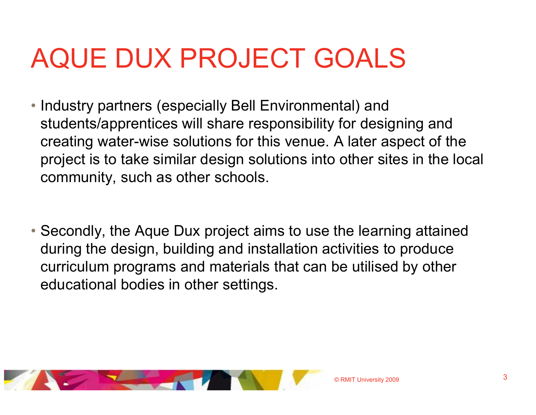- Industry partners (especially Bell Environmental) and students/apprentices will share responsibility for designing and creating water-wise solutions for this venue. A later aspect of the project is to take similar design solutions into other sites in the local community, such as other schools.
- Secondly, the Aque Dux project aims to use the learning attained during the design, building and installation activities to produce curriculum programs and materials that can be utilised by other educational bodies in other settings.

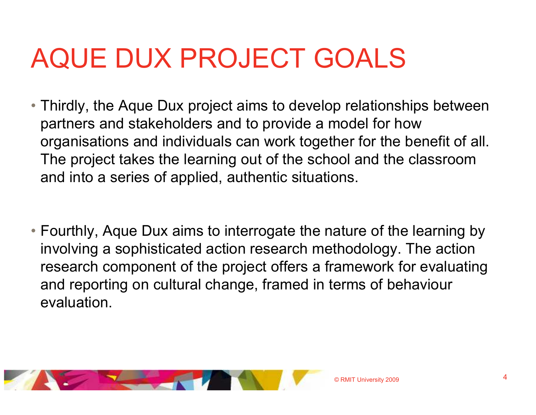- Thirdly, the Aque Dux project aims to develop relationships between partners and stakeholders and to provide a model for how organisations and individuals can work together for the benefit of all. The project takes the learning out of the school and the classroom and into a series of applied, authentic situations.
- Fourthly, Aque Dux aims to interrogate the nature of the learning by involving a sophisticated action research methodology. The action research component of the project offers a framework for evaluating and reporting on cultural change, framed in terms of behaviourevaluation.

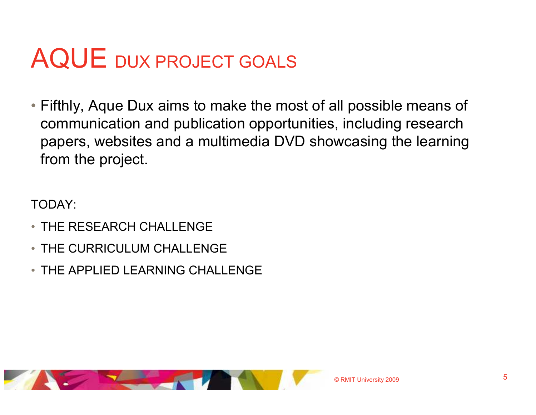• Fifthly, Aque Dux aims to make the most of all possible means of example to reserve the construction of communication and publication opportunities, including research papers, websites and a multimedia DVD showcasing the learning from the project.

TODAY:

- THE RESEARCH CHALLENGE
- THE CURRICULUM CHALLENGE
- THE APPLIED LEARNING CHALLENGE

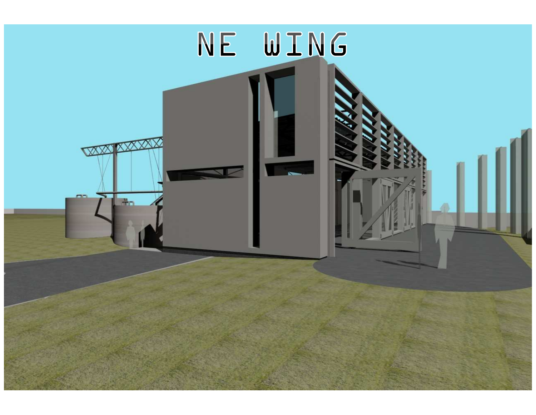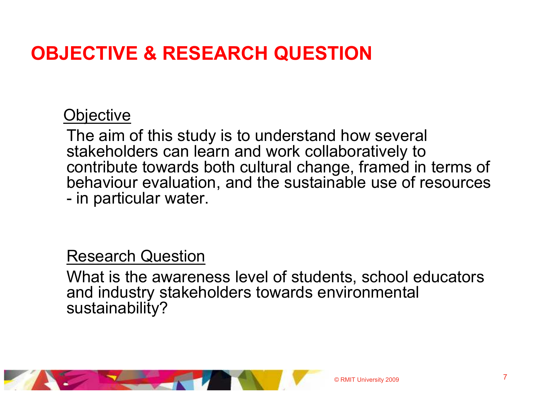# OBJECTIVE & RESEARCH QUESTION

## **Objective**

The aim of this study is to understand how several stakeholders can learn and work collaboratively to contribute towards both cultural change, framed in terms of behaviour evaluation, and the sustainable use of resources in particular water.

### Research Question

 What is the awareness level of students, school educators and industry stakeholders towards environmental sustainability?

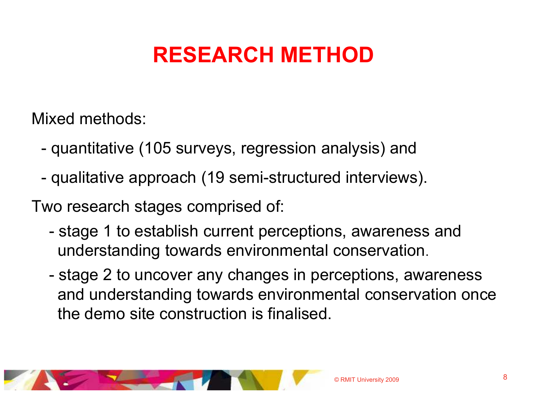# RESEARCH METHOD

Mixed methods:

- quantitative (105 surveys, regression analysis) and
- qualitative approach (19 semi-structured interviews).

Two research stages comprised of:

- stage 1 to establish current perceptions, awareness and understanding towards environmental conservation.
- stage 2 to uncover any changes in perceptions, awareness and understanding towards environmental conservation once the demo site construction is finalised.

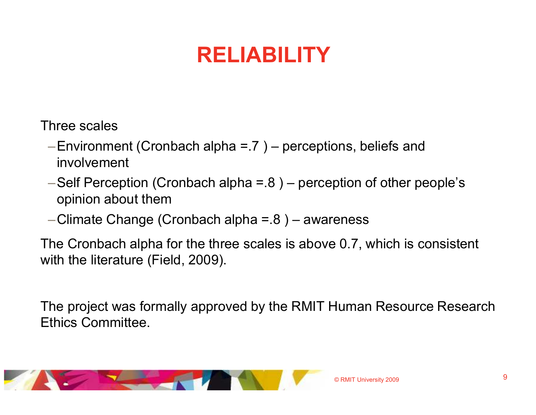# RELIABILITY

Three scales

- $-$ Environment (Cronbach alpha = 7) perceptions, beliefs and involvement
- –Self Perception (Cronbach alpha =  $.8$ ) perception of other people's opinion about them
- $-$ Climate Change (Cronbach alpha =  $.8$ ) awareness

-Climate Change (Cronbach alpha =  $.8$ ) - awareness<br>The Cronbach alpha for the three scales is above 0.7, which is consistent<br>with the literature (Field, 2009).<br>The project was formally approved by the RMIT Human Resource

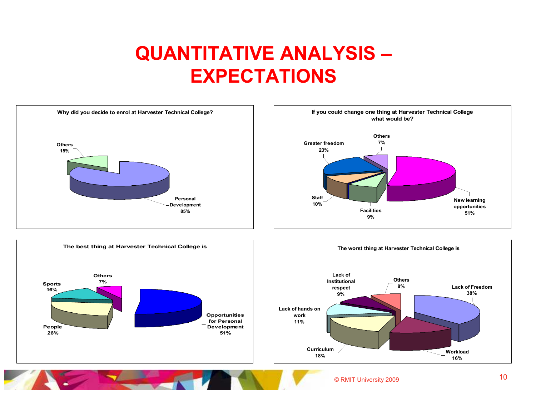# QUANTITATIVE ANALYSIS –EXPECTATIONS

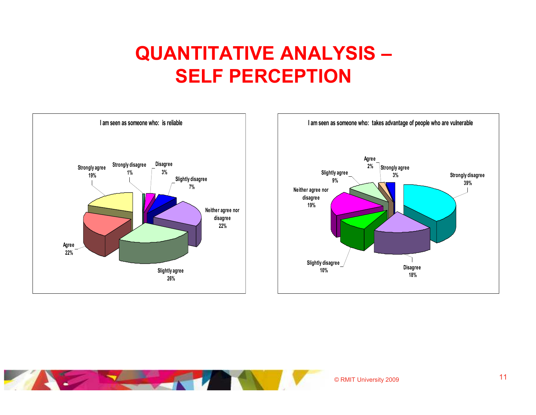# QUANTITATIVE ANALYSIS –SELF PERCEPTION



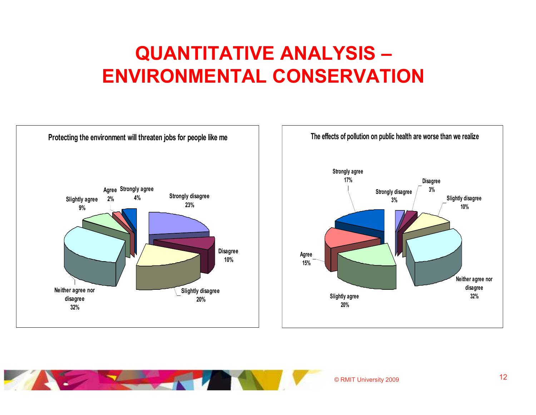# QUANTITATIVE ANALYSIS –ENVIRONMENTAL CONSERVATION



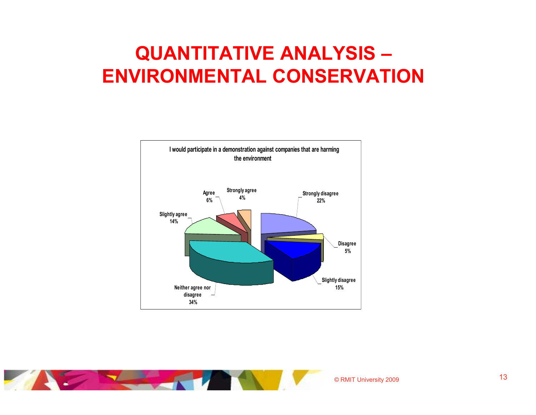# QUANTITATIVE ANALYSIS –ENVIRONMENTAL CONSERVATION



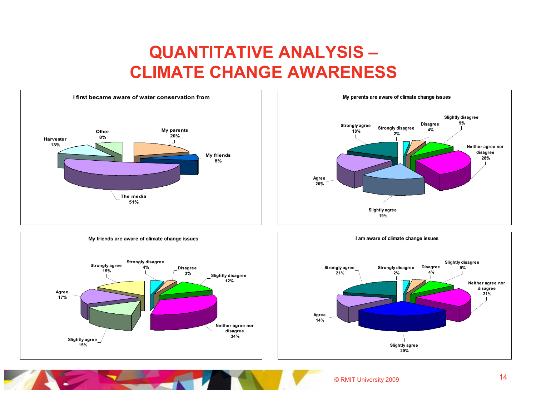## QUANTITATIVE ANALYSIS –CLIMATE CHANGE AWARENESS







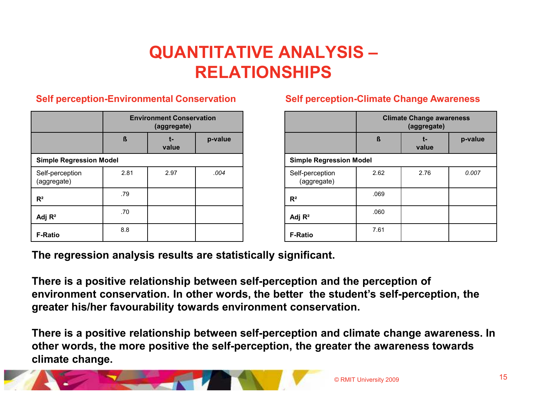# QUANTITATIVE ANALYSIS –RELATIONSHIPS

#### Self perception-Environmental Conservation

|                                | <b>Environment Conservation</b><br>(aggregate) |             |         |
|--------------------------------|------------------------------------------------|-------------|---------|
|                                | ß                                              | t-<br>value | p-value |
| <b>Simple Regression Model</b> |                                                |             |         |
| Self-perception<br>(aggregate) | 2.81                                           | 2.97        | .004    |
| $R^2$                          | .79                                            |             |         |
| Adj $R^2$                      | .70                                            |             |         |
| <b>F-Ratio</b>                 | 8.8                                            |             |         |

#### Self perception-Climate Change Awareness

|                                | <b>Climate Change awareness</b><br>(aggregate) |             |         |
|--------------------------------|------------------------------------------------|-------------|---------|
|                                | ß                                              | t-<br>value | p-value |
| <b>Simple Regression Model</b> |                                                |             |         |
| Self-perception<br>(aggregate) | 2.62                                           | 2.76        | 0.007   |
| $R^2$                          | .069                                           |             |         |
| Adj $R^2$                      | .060                                           |             |         |
| <b>F-Ratio</b>                 | 7.61                                           |             |         |

The regression analysis results are statistically significant.

There is a positive relationship between self-perception and the perception of environment conservation. In other words, the better the student's self-perception, the greater his/her favourability towards environment conservation.

There is a positive relationship between self-perception and climate change awareness. In other words, the more positive the self-perception, the greater the awareness towards climate change.

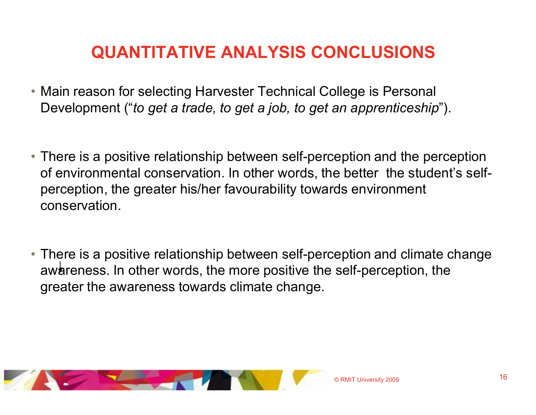# QUANTITATIVE ANALYSIS CONCLUSIONS

- Main reason for selecting Harvester Technical College is Personal Development ("to get a trade, to get a job, to get an apprenticeship").
- There is a positive relationship between self-perception and the perception of environmental conservation. In other words, the better the student's selfperception, the greater his/her favourability towards environment conservation.
- There is a positive relationship between self-perception and climate change awareness. In other words, the more positive the self-perception, the greater the awareness towards climate change.

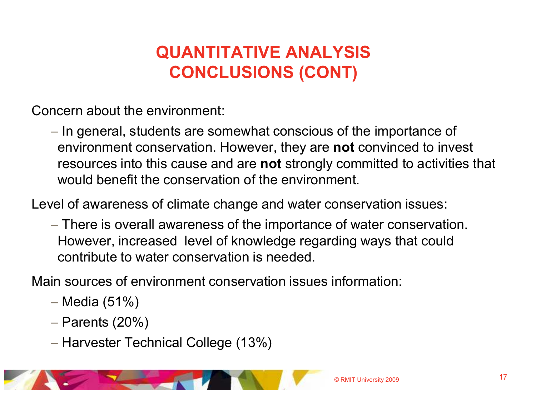# QUANTITATIVE ANALYSISCONCLUSIONS (CONT)

Concern about the environment:

 $-$  In general, students are somewhat conscious of the importance of environment conservation. However, they are **not** convinced to invest resources into this cause and are not strongly committed to activities that would benefit the conservation of the environment.

Level of awareness of climate change and water conservation issues:

 There is overall awareness of the importance of water conservation. However, increased level of knowledge regarding ways that could contribute to water conservation is needed.

Main sources of environment conservation issues information:

- Media (51%)
- $-$  Parents (20%)
- $-$  Harvester Technical College (13%)

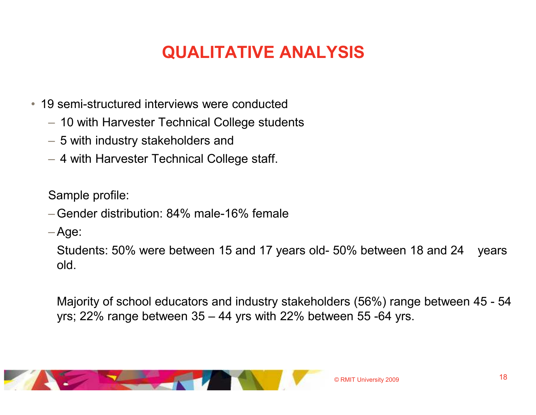- 19 semi-structured interviews were conducted
	- $-$  10 with Harvester Technical College students
	- 5 with industry stakeholders and
	- 4 with Harvester Technical College staff.

Sample profile:

–Gender distribution: 84% male-16% female

–Age:

Students: 50% were between 15 and 17 years old- 50% between 18 and 24 years old.

Majority of school educators and industry stakeholders (56%) range between 45 - <sup>54</sup> yrs; 22% range between 35 – 44 yrs with 22% between 55 -64 yrs.

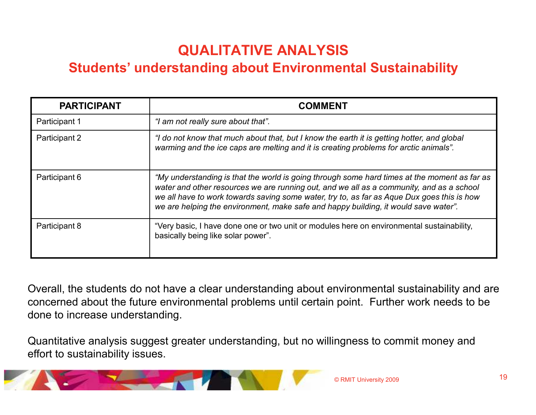#### Students' understanding about Environmental Sustainability

| <b>PARTICIPANT</b> | COMMENT                                                                                                                                                                                                                                                                                                                                                                       |
|--------------------|-------------------------------------------------------------------------------------------------------------------------------------------------------------------------------------------------------------------------------------------------------------------------------------------------------------------------------------------------------------------------------|
| Participant 1      | "I am not really sure about that".                                                                                                                                                                                                                                                                                                                                            |
| Participant 2      | "I do not know that much about that, but I know the earth it is getting hotter, and global<br>warming and the ice caps are melting and it is creating problems for arctic animals".                                                                                                                                                                                           |
| Participant 6      | "My understanding is that the world is going through some hard times at the moment as far as<br>water and other resources we are running out, and we all as a community, and as a school<br>we all have to work towards saving some water, try to, as far as Aque Dux goes this is how<br>we are helping the environment, make safe and happy building, it would save water". |
| Participant 8      | "Very basic, I have done one or two unit or modules here on environmental sustainability,<br>basically being like solar power".                                                                                                                                                                                                                                               |

Overall, the students do not have a clear understanding about environmental sustainability and are concerned about the future environmental problems until certain point. Further work needs to be done to increase understanding.

Quantitative analysis suggest greater understanding, but no willingness to commit money and effort to sustainability issues.

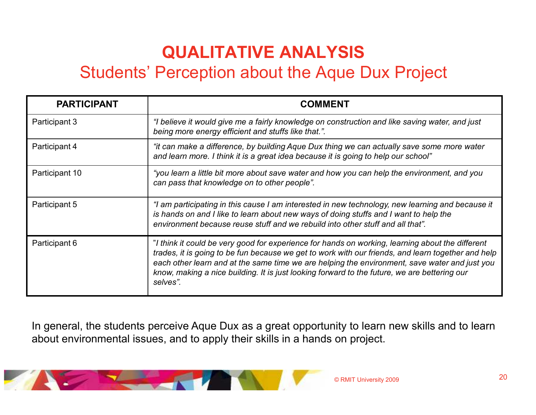## Students' Perception about the Aque Dux Project

| <b>PARTICIPANT</b> | <b>COMMENT</b>                                                                                                                                                                                                                                                                                                                                                                                                      |
|--------------------|---------------------------------------------------------------------------------------------------------------------------------------------------------------------------------------------------------------------------------------------------------------------------------------------------------------------------------------------------------------------------------------------------------------------|
| Participant 3      | "I believe it would give me a fairly knowledge on construction and like saving water, and just<br>being more energy efficient and stuffs like that.".                                                                                                                                                                                                                                                               |
| Participant 4      | "it can make a difference, by building Aque Dux thing we can actually save some more water<br>and learn more. I think it is a great idea because it is going to help our school"                                                                                                                                                                                                                                    |
| Participant 10     | "you learn a little bit more about save water and how you can help the environment, and you<br>can pass that knowledge on to other people".                                                                                                                                                                                                                                                                         |
| Participant 5      | "I am participating in this cause I am interested in new technology, new learning and because it<br>is hands on and I like to learn about new ways of doing stuffs and I want to help the<br>environment because reuse stuff and we rebuild into other stuff and all that".                                                                                                                                         |
| Participant 6      | "I think it could be very good for experience for hands on working, learning about the different<br>trades, it is going to be fun because we get to work with our friends, and learn together and help<br>each other learn and at the same time we are helping the environment, save water and just you<br>know, making a nice building. It is just looking forward to the future, we are bettering our<br>selves". |

In general, the students perceive Aque Dux as a great opportunity to learn new skills and to learn about environmental issues, and to apply their skills in a hands on project.

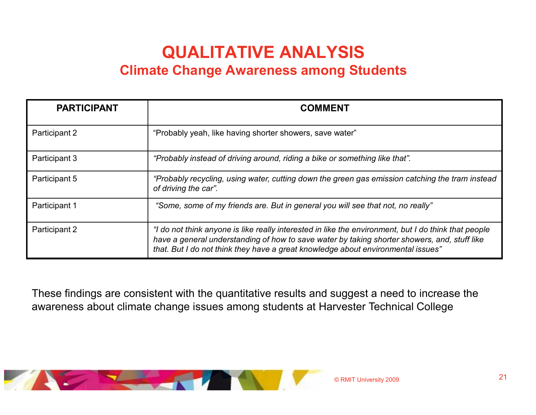## QUALITATIVE ANALYSISClimate Change Awareness among Students

| <b>PARTICIPANT</b> | <b>COMMENT</b>                                                                                                                                                                                                                                                                           |
|--------------------|------------------------------------------------------------------------------------------------------------------------------------------------------------------------------------------------------------------------------------------------------------------------------------------|
| Participant 2      | "Probably yeah, like having shorter showers, save water"                                                                                                                                                                                                                                 |
| Participant 3      | "Probably instead of driving around, riding a bike or something like that".                                                                                                                                                                                                              |
| Participant 5      | "Probably recycling, using water, cutting down the green gas emission catching the tram instead<br>of driving the car".                                                                                                                                                                  |
| Participant 1      | "Some, some of my friends are. But in general you will see that not, no really"                                                                                                                                                                                                          |
| Participant 2      | "I do not think anyone is like really interested in like the environment, but I do think that people<br>have a general understanding of how to save water by taking shorter showers, and, stuff like<br>that. But I do not think they have a great knowledge about environmental issues" |

These findings are consistent with the quantitative results and suggest a need to increase the awareness about climate change issues among students at Harvester Technical College

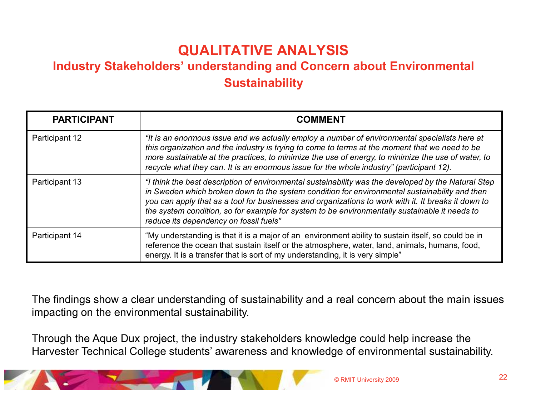#### Industry Stakeholders' understanding and Concern about Environmental **Sustainability**

| <b>PARTICIPANT</b> | <b>COMMENT</b>                                                                                                                                                                                                                                                                                                                                                                                                                                         |
|--------------------|--------------------------------------------------------------------------------------------------------------------------------------------------------------------------------------------------------------------------------------------------------------------------------------------------------------------------------------------------------------------------------------------------------------------------------------------------------|
| Participant 12     | "It is an enormous issue and we actually employ a number of environmental specialists here at<br>this organization and the industry is trying to come to terms at the moment that we need to be<br>more sustainable at the practices, to minimize the use of energy, to minimize the use of water, to<br>recycle what they can. It is an enormous issue for the whole industry" (participant 12).                                                      |
| Participant 13     | "I think the best description of environmental sustainability was the developed by the Natural Step<br>in Sweden which broken down to the system condition for environmental sustainability and then<br>you can apply that as a tool for businesses and organizations to work with it. It breaks it down to<br>the system condition, so for example for system to be environmentally sustainable it needs to<br>reduce its dependency on fossil fuels" |
| Participant 14     | "My understanding is that it is a major of an environment ability to sustain itself, so could be in<br>reference the ocean that sustain itself or the atmosphere, water, land, animals, humans, food,<br>energy. It is a transfer that is sort of my understanding, it is very simple"                                                                                                                                                                 |

The findings show a clear understanding of sustainability and a real concern about the main issues impacting on the environmental sustainability.

Through the Aque Dux project, the industry stakeholders knowledge could help increase the Harvester Technical College students' awareness and knowledge of environmental sustainability.

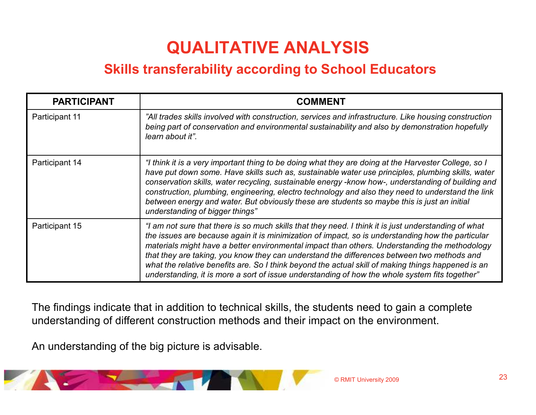### Skills transferability according to School Educators

| <b>PARTICIPANT</b> | <b>COMMENT</b>                                                                                                                                                                                                                                                                                                                                                                                                                                                                                                                                                                                                   |
|--------------------|------------------------------------------------------------------------------------------------------------------------------------------------------------------------------------------------------------------------------------------------------------------------------------------------------------------------------------------------------------------------------------------------------------------------------------------------------------------------------------------------------------------------------------------------------------------------------------------------------------------|
| Participant 11     | "All trades skills involved with construction, services and infrastructure. Like housing construction<br>being part of conservation and environmental sustainability and also by demonstration hopefully<br>learn about it".                                                                                                                                                                                                                                                                                                                                                                                     |
| Participant 14     | "I think it is a very important thing to be doing what they are doing at the Harvester College, so I<br>have put down some. Have skills such as, sustainable water use principles, plumbing skills, water<br>conservation skills, water recycling, sustainable energy -know how-, understanding of building and<br>construction, plumbing, engineering, electro technology and also they need to understand the link<br>between energy and water. But obviously these are students so maybe this is just an initial<br>understanding of bigger things"                                                           |
| Participant 15     | "I am not sure that there is so much skills that they need. I think it is just understanding of what<br>the issues are because again it is minimization of impact, so is understanding how the particular<br>materials might have a better environmental impact than others. Understanding the methodology<br>that they are taking, you know they can understand the differences between two methods and<br>what the relative benefits are. So I think beyond the actual skill of making things happened is an<br>understanding, it is more a sort of issue understanding of how the whole system fits together" |

The findings indicate that in addition to technical skills, the students need to gain a complete understanding of different construction methods and their impact on the environment.

An understanding of the big picture is advisable.

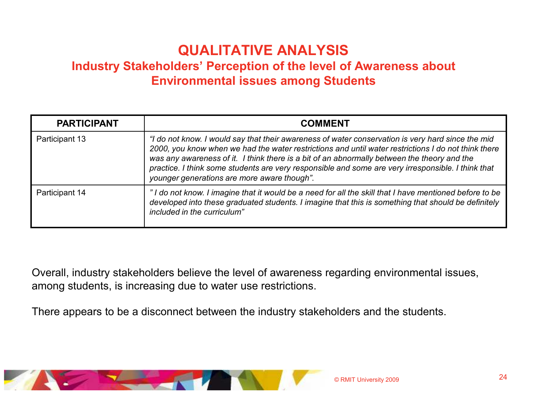#### Industry Stakeholders' Perception of the level of Awareness about Environmental issues among Students

| <b>PARTICIPANT</b> | <b>COMMENT</b>                                                                                                                                                                                                                                                                                                                                                                                                                                               |
|--------------------|--------------------------------------------------------------------------------------------------------------------------------------------------------------------------------------------------------------------------------------------------------------------------------------------------------------------------------------------------------------------------------------------------------------------------------------------------------------|
| Participant 13     | "I do not know. I would say that their awareness of water conservation is very hard since the mid<br>2000, you know when we had the water restrictions and until water restrictions I do not think there<br>was any awareness of it. I think there is a bit of an abnormally between the theory and the<br>practice. I think some students are very responsible and some are very irresponsible. I think that<br>younger generations are more aware though". |
| Participant 14     | "I do not know. I imagine that it would be a need for all the skill that I have mentioned before to be<br>developed into these graduated students. I imagine that this is something that should be definitely<br>included in the curriculum"                                                                                                                                                                                                                 |

Overall, industry stakeholders believe the level of awareness regarding environmental issues, among students, is increasing due to water use restrictions.

There appears to be a disconnect between the industry stakeholders and the students.

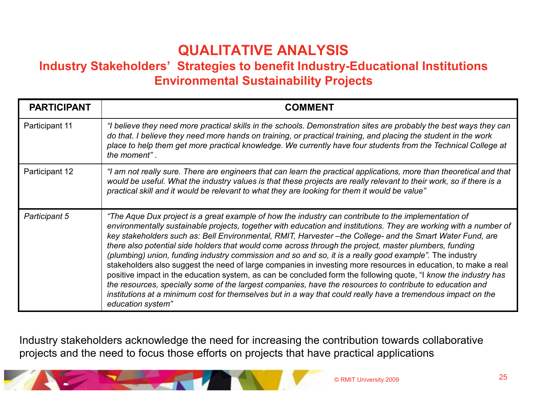#### Industry Stakeholders' Strategies to benefit Industry-Educational Institutions Environmental Sustainability Projects

| <b>PARTICIPANT</b>    | <b>COMMENT</b>                                                                                                                                                                                                                                                                                                                                                                                                                                                                                                                                                                                                                                                                                                                                                                                                                                                                                                                                                                                                                                    |
|-----------------------|---------------------------------------------------------------------------------------------------------------------------------------------------------------------------------------------------------------------------------------------------------------------------------------------------------------------------------------------------------------------------------------------------------------------------------------------------------------------------------------------------------------------------------------------------------------------------------------------------------------------------------------------------------------------------------------------------------------------------------------------------------------------------------------------------------------------------------------------------------------------------------------------------------------------------------------------------------------------------------------------------------------------------------------------------|
| <b>Participant 11</b> | "I believe they need more practical skills in the schools. Demonstration sites are probably the best ways they can<br>do that. I believe they need more hands on training, or practical training, and placing the student in the work<br>place to help them get more practical knowledge. We currently have four students from the Technical College at<br>the moment".                                                                                                                                                                                                                                                                                                                                                                                                                                                                                                                                                                                                                                                                           |
| Participant 12        | "I am not really sure. There are engineers that can learn the practical applications, more than theoretical and that<br>would be useful. What the industry values is that these projects are really relevant to their work, so if there is a<br>practical skill and it would be relevant to what they are looking for them it would be value"                                                                                                                                                                                                                                                                                                                                                                                                                                                                                                                                                                                                                                                                                                     |
| Participant 5         | "The Aque Dux project is a great example of how the industry can contribute to the implementation of<br>environmentally sustainable projects, together with education and institutions. They are working with a number of<br>key stakeholders such as: Bell Environmental, RMIT, Harvester-the College- and the Smart Water Fund, are<br>there also potential side holders that would come across through the project, master plumbers, funding<br>(plumbing) union, funding industry commission and so and so, it is a really good example". The industry<br>stakeholders also suggest the need of large companies in investing more resources in education, to make a real<br>positive impact in the education system, as can be concluded form the following quote, "I know the industry has<br>the resources, specially some of the largest companies, have the resources to contribute to education and<br>institutions at a minimum cost for themselves but in a way that could really have a tremendous impact on the<br>education system" |

Industry stakeholders acknowledge the need for increasing the contribution towards collaborative projects and the need to focus those efforts on projects that have practical applications

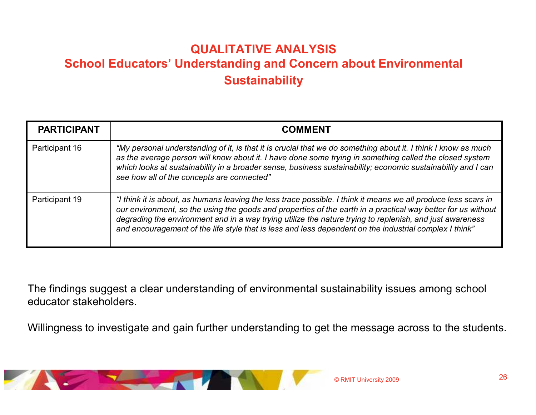#### QUALITATIVE ANALYSIS School Educators' Understanding and Concern about Environmental **Sustainability**

| <b>PARTICIPANT</b> | <b>COMMENT</b>                                                                                                                                                                                                                                                                                                                                                                                                                                       |
|--------------------|------------------------------------------------------------------------------------------------------------------------------------------------------------------------------------------------------------------------------------------------------------------------------------------------------------------------------------------------------------------------------------------------------------------------------------------------------|
| Participant 16     | "My personal understanding of it, is that it is crucial that we do something about it. I think I know as much<br>as the average person will know about it. I have done some trying in something called the closed system<br>which looks at sustainability in a broader sense, business sustainability; economic sustainability and I can<br>see how all of the concepts are connected"                                                               |
| Participant 19     | "I think it is about, as humans leaving the less trace possible. I think it means we all produce less scars in<br>our environment, so the using the goods and properties of the earth in a practical way better for us without<br>degrading the environment and in a way trying utilize the nature trying to replenish, and just awareness<br>and encouragement of the life style that is less and less dependent on the industrial complex I think" |

The findings suggest a clear understanding of environmental sustainability issues among school educator stakeholders.

Willingness to investigate and gain further understanding to get the message across to the students.

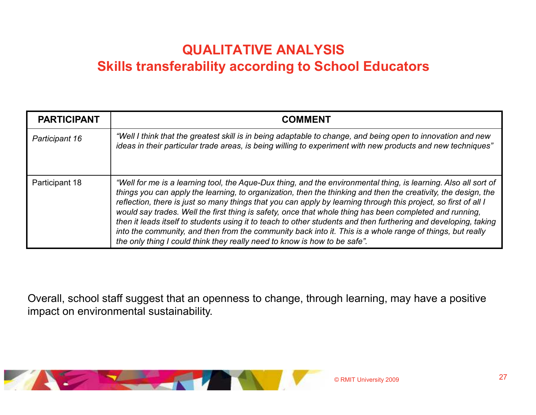### QUALITATIVE ANALYSISSkills transferability according to School Educators

| <b>PARTICIPANT</b> | <b>COMMENT</b>                                                                                                                                                                                                                                                                                                                                                                                                                                                                                                                                                                                                                                                                                                                                                               |
|--------------------|------------------------------------------------------------------------------------------------------------------------------------------------------------------------------------------------------------------------------------------------------------------------------------------------------------------------------------------------------------------------------------------------------------------------------------------------------------------------------------------------------------------------------------------------------------------------------------------------------------------------------------------------------------------------------------------------------------------------------------------------------------------------------|
| Participant 16     | "Well I think that the greatest skill is in being adaptable to change, and being open to innovation and new<br>ideas in their particular trade areas, is being willing to experiment with new products and new techniques"                                                                                                                                                                                                                                                                                                                                                                                                                                                                                                                                                   |
| Participant 18     | "Well for me is a learning tool, the Aque-Dux thing, and the environmental thing, is learning. Also all sort of<br>things you can apply the learning, to organization, then the thinking and then the creativity, the design, the<br>reflection, there is just so many things that you can apply by learning through this project, so first of all I<br>would say trades. Well the first thing is safety, once that whole thing has been completed and running,<br>then it leads itself to students using it to teach to other students and then furthering and developing, taking<br>into the community, and then from the community back into it. This is a whole range of things, but really<br>the only thing I could think they really need to know is how to be safe". |

Overall, school staff suggest that an openness to change, through learning, may have a positive impact on environmental sustainability.

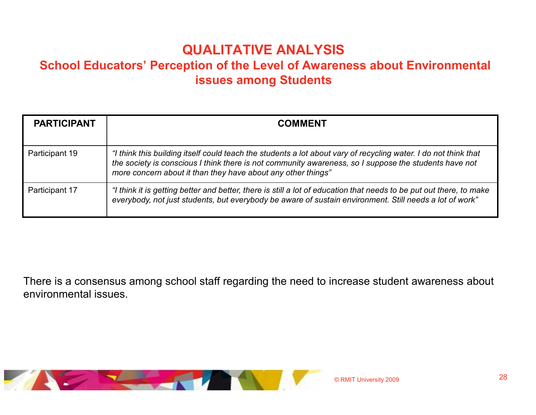#### School Educators' Perception of the Level of Awareness about Environmental issues among Students

| <b>PARTICIPANT</b> | <b>COMMENT</b>                                                                                                                                                                                                                                                                           |
|--------------------|------------------------------------------------------------------------------------------------------------------------------------------------------------------------------------------------------------------------------------------------------------------------------------------|
| Participant 19     | "I think this building itself could teach the students a lot about vary of recycling water. I do not think that<br>the society is conscious I think there is not community awareness, so I suppose the students have not<br>more concern about it than they have about any other things" |
| Participant 17     | "I think it is getting better and better, there is still a lot of education that needs to be put out there, to make<br>everybody, not just students, but everybody be aware of sustain environment. Still needs a lot of work"                                                           |

There is a consensus among school staff regarding the need to increase student awareness about environmental issues.

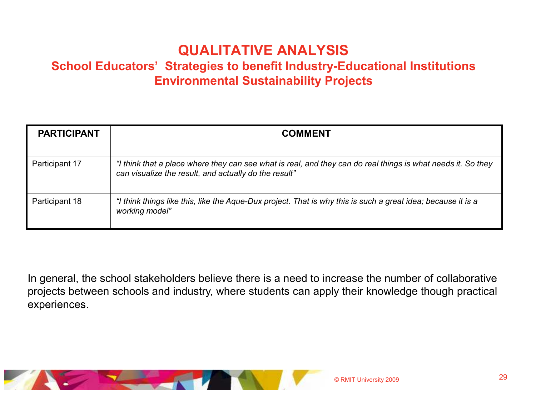#### School Educators' Strategies to benefit Industry-Educational Institutions Environmental Sustainability Projects

| <b>PARTICIPANT</b> | <b>COMMENT</b>                                                                                                                                                        |
|--------------------|-----------------------------------------------------------------------------------------------------------------------------------------------------------------------|
| Participant 17     | "I think that a place where they can see what is real, and they can do real things is what needs it. So they<br>can visualize the result, and actually do the result" |
| Participant 18     | "I think things like this, like the Aque-Dux project. That is why this is such a great idea; because it is a<br>working model"                                        |

In general, the school stakeholders believe there is a need to increase the number of collaborative projects between schools and industry, where students can apply their knowledge though practical experiences.

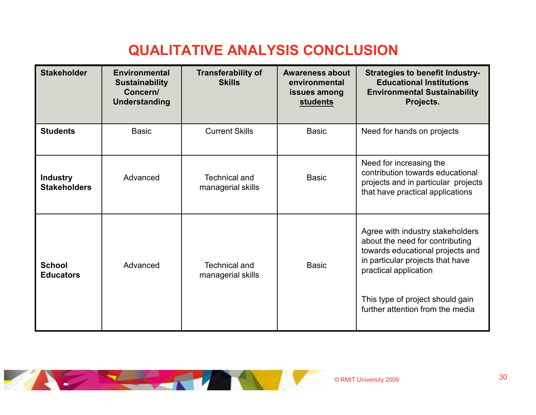### QUALITATIVE ANALYSIS CONCLUSION

| <b>Stakeholder</b>                     | <b>Environmental</b><br><b>Sustainability</b><br>Concern/<br><b>Understanding</b> | <b>Transferability of</b><br><b>Skills</b> | <b>Awareness about</b><br>environmental<br>issues among<br><b>students</b> | <b>Strategies to benefit Industry-</b><br><b>Educational Institutions</b><br><b>Environmental Sustainability</b><br>Projects.                                                                                                                |
|----------------------------------------|-----------------------------------------------------------------------------------|--------------------------------------------|----------------------------------------------------------------------------|----------------------------------------------------------------------------------------------------------------------------------------------------------------------------------------------------------------------------------------------|
| <b>Students</b>                        | <b>Basic</b>                                                                      | <b>Current Skills</b>                      | <b>Basic</b>                                                               | Need for hands on projects                                                                                                                                                                                                                   |
| <b>Industry</b><br><b>Stakeholders</b> | Advanced                                                                          | <b>Technical and</b><br>managerial skills  | <b>Basic</b>                                                               | Need for increasing the<br>contribution towards educational<br>projects and in particular projects<br>that have practical applications                                                                                                       |
| <b>School</b><br><b>Educators</b>      | Advanced                                                                          | <b>Technical and</b><br>managerial skills  | <b>Basic</b>                                                               | Agree with industry stakeholders<br>about the need for contributing<br>towards educational projects and<br>in particular projects that have<br>practical application<br>This type of project should gain<br>further attention from the media |

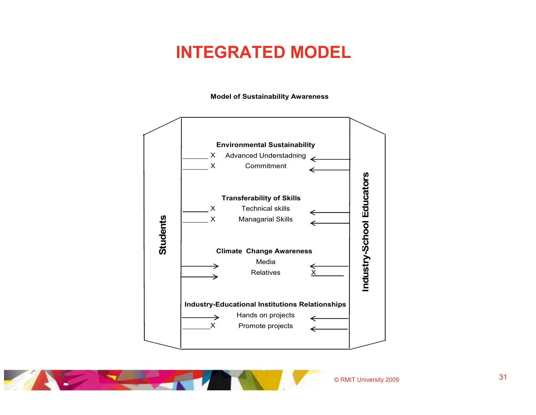## INTEGRATED MODEL

Model of Sustainability Awareness



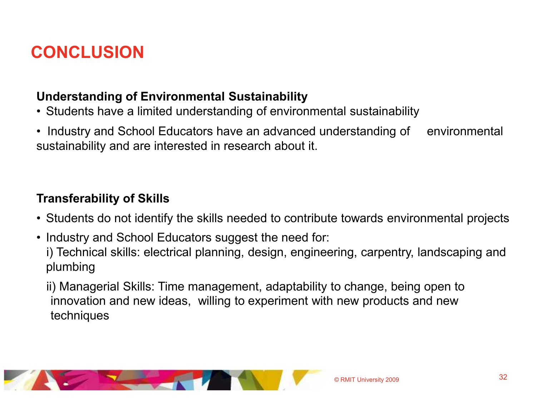# **CONCLUSION**

#### Understanding of Environmental Sustainability

- Students have a limited understanding of environmental sustainability
- Industry and School Educators have an advanced understanding of environmental<br>sustainability and are interested in research about it. sustainability and are interested in research about it.

#### Transferability of Skills

- Students do not identify the skills needed to contribute towards environmental projects
- Industry and School Educators suggest the need for:<br>a Technical akillar alectrical planning, decise engineer i) Technical skills: electrical planning, design, engineering, carpentry, landscaping and plumbing

ii) Managerial Skills: Time management, adaptability to change, being open to innovation and new ideas, willing to experiment with new products and new techniques

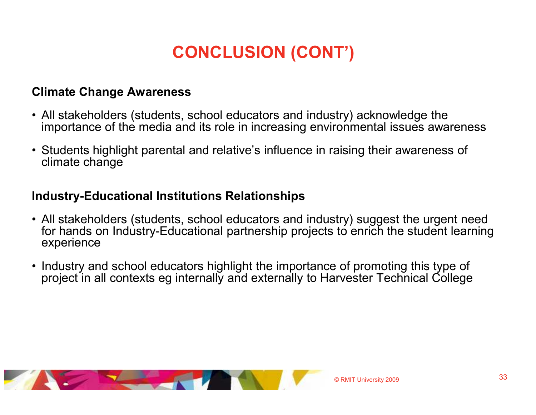# CONCLUSION (CONT')

#### Climate Change Awareness

- All stakeholders (students, school educators and industry) acknowledge the international series awaition of the media and its role in increasing environmental issues await importance of the media and its role in increasing environmental issues awareness
- Students highlight parental and relative's influence in raising their awareness of<br>climate change climate change

#### Industry-Educational Institutions Relationships

- All stakeholders (students, school educators and industry) suggest the urgent need<br>for hands on Industry-Educational partnership projects to enrich the student learning for hands on Industry-Educational partnership projects to enrich the student learning experience
- Industry and school educators highlight the importance of promoting this type of<br>Internally and externally to Harvester Technical College project in all contexts eg internally and externally to Harvester Technical College

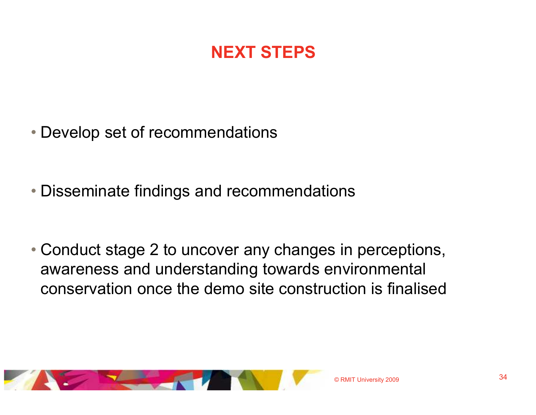# NEXT STEPS

- Develop set of recommendations
- Disseminate findings and recommendations
- Conduct stage 2 to uncover any changes in perceptions, awareness and understanding towards environmental conservation once the demo site construction is finalised

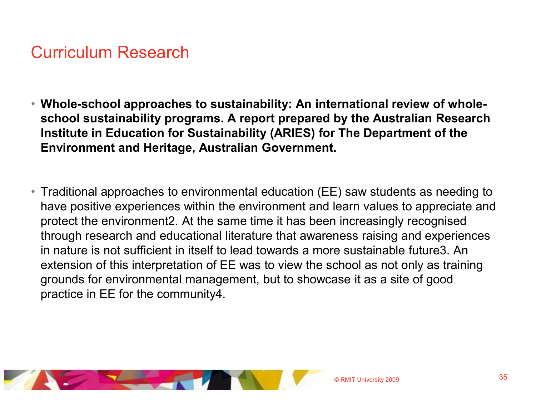## Curriculum Research

- Whole-school approaches to sustainability: An international review of wholeschool sustainability programs. A report prepared by the Australian Research Institute in Education for Sustainability (ARIES) for The Department of the Environment and Heritage, Australian Government.
- Traditional approaches to environmental education (EE) saw students as needing to have positive experiences within the environment and learn values to appreciate and protect the environment2. At the same time it has been increasingly recognised through research and educational literature that awareness raising and experiences in nature is not sufficient in itself to lead towards a more sustainable future3. An extension of this interpretation of EE was to view the school as not only as training grounds for environmental management, but to showcase it as a site of good practice in EE for the community4.

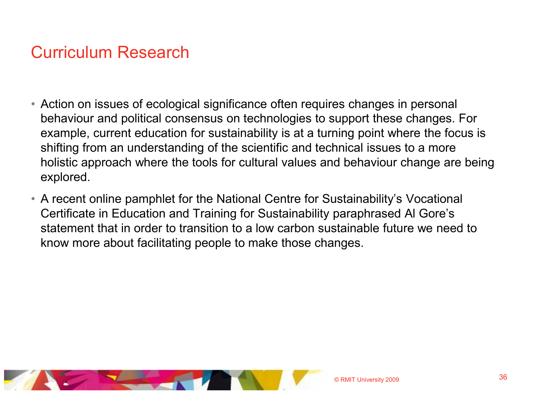## Curriculum Research

- Action on issues of ecological significance often requires changes in personal behaviour and political consensus on technologies to support these changes. For example, current education for sustainability is at a turning point where the focus is shifting from an understanding of the scientific and technical issues to a more holistic approach where the tools for cultural values and behaviour change are being explored.
- A recent online pamphlet for the National Centre for Sustainability's Vocational Certificate in Education and Training for Sustainability paraphrased Al Gore's statement that in order to transition to a low carbon sustainable future we need to know more about facilitating people to make those changes.

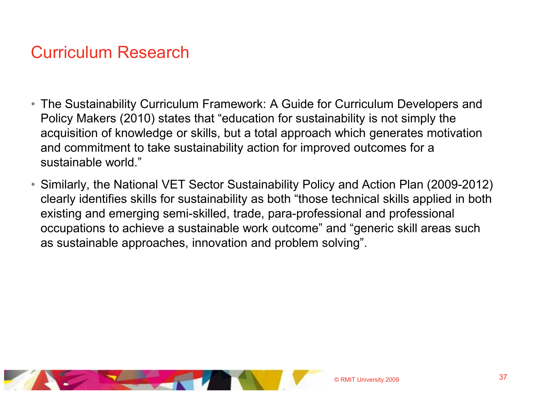## Curriculum Research

- The Sustainability Curriculum Framework: A Guide for Curriculum Developers and Policy Makers (2010) states that "education for sustainability is not simply the acquisition of knowledge or skills, but a total approach which generates motivation and commitment to take sustainability action for improved outcomes for a sustainable world."
- Similarly, the National VET Sector Sustainability Policy and Action Plan (2009-2012) clearly identifies skills for sustainability as both "those technical skills applied in both existing and emerging semi-skilled, trade, para-professional and professional occupations to achieve a sustainable work outcome" and "generic skill areas such as sustainable approaches, innovation and problem solving".

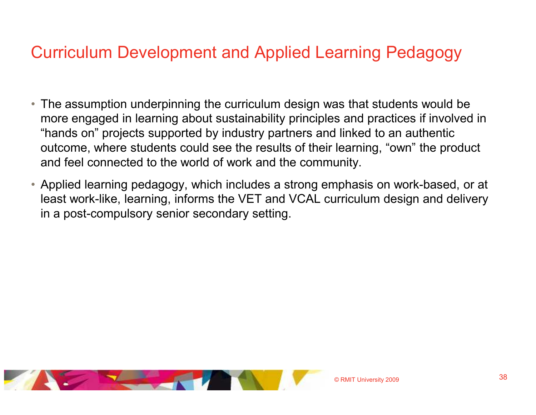## Curriculum Development and Applied Learning Pedagogy

- The assumption underpinning the curriculum design was that students would be more engaged in learning about sustainability principles and practices if involved in "hands on" projects supported by industry partners and linked to an authentic outcome, where students could see the results of their learning, "own" the product and feel connected to the world of work and the community.
- Applied learning pedagogy, which includes a strong emphasis on work-based, or at least work-like, learning, informs the VET and VCAL curriculum design and delivery in a post-compulsory senior secondary setting.

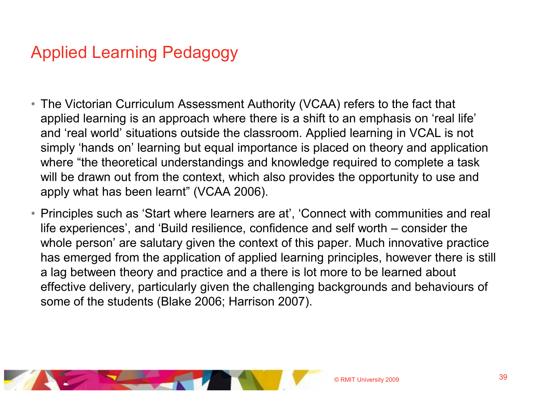# Applied Learning Pedagogy

- The Victorian Curriculum Assessment Authority (VCAA) refers to the fact that applied learning is an approach where there is a shift to an emphasis on 'real life' and 'real world' situations outside the classroom. Applied learning in VCAL is not simply 'hands on' learning but equal importance is placed on theory and application where "the theoretical understandings and knowledge required to complete a task will be drawn out from the context, which also provides the opportunity to use and apply what has been learnt" (VCAA 2006).
- Principles such as 'Start where learners are at', 'Connect with communities and real life experiences', and 'Build resilience, confidence and self worth – consider the whole person' are salutary given the context of this paper. Much innovative practice has emerged from the application of applied learning principles, however there is still a lag between theory and practice and a there is lot more to be learned about effective delivery, particularly given the challenging backgrounds and behaviours of some of the students (Blake 2006; Harrison 2007).

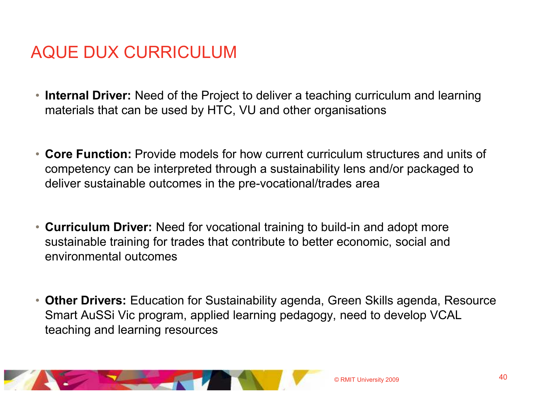# AQUE DUX CURRICULUM

- Internal Driver: Need of the Project to deliver a teaching curriculum and learning materials that can be used by HTC, VU and other organisations
- Core Function: Provide models for how current curriculum structures and units of competency can be interpreted through a sustainability lens and/or packaged to deliver sustainable outcomes in the pre-vocational/trades area
- Curriculum Driver: Need for vocational training to build-in and adopt more sustainable training for trades that contribute to better economic, social and environmental outcomes
- Other Drivers: Education for Sustainability agenda, Green Skills agenda, Resource Smart AuSSi Vic program, applied learning pedagogy, need to develop VCAL teaching and learning resources

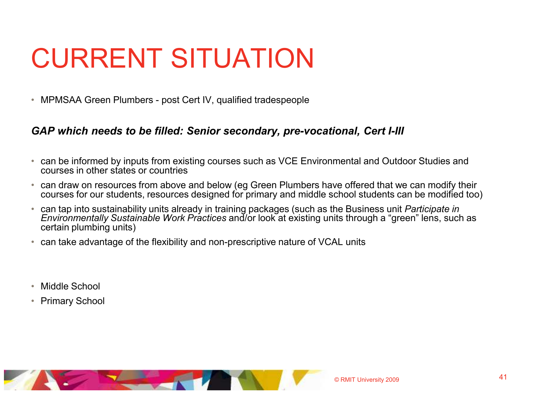# CURRENT SITUATION

 $\bullet$ MPMSAA Green Plumbers - post Cert IV, qualified tradespeople

#### GAP which needs to be filled: Senior secondary, pre-vocational, Cert I-III

- can be informed by inputs from existing courses such as VCE Environmental and Outdoor Studies and courses in other states or countries
- can draw on resources from above and below (eg Green Plumbers have offered that we can modify their courses for our students, resources designed for primary and middle school students can be modified too)
- $\bullet$ can tap into sustainability units already in training packages (such as the Business unit Participate in Environmentally Sustainable Work Practices and/or look at existing units through a "green" lens, such as certain plumbing units)
- $\bullet$ can take advantage of the flexibility and non-prescriptive nature of VCAL units
- •Middle School
- $\bullet$ Primary School

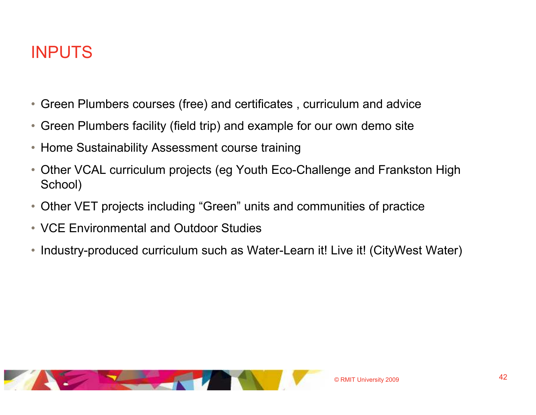# INPUTS

- Green Plumbers courses (free) and certificates , curriculum and advice
- Green Plumbers facility (field trip) and example for our own demo site
- Home Sustainability Assessment course training
- Other VCAL curriculum projects (eg Youth Eco-Challenge and Frankston High School)
- Other VET projects including "Green" units and communities of practice
- VCE Environmental and Outdoor Studies
- Industry-produced curriculum such as Water-Learn it! Live it! (CityWest Water)

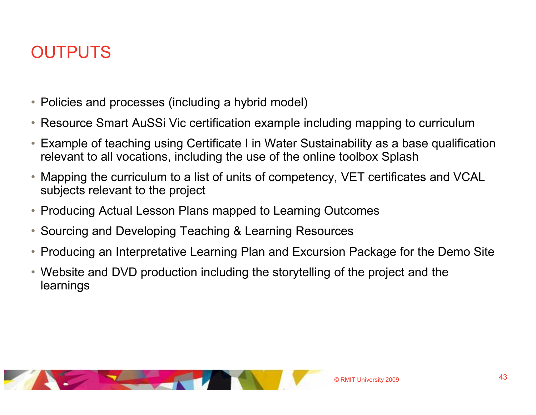# **OUTPUTS**

- Policies and processes (including a hybrid model)
- Resource Smart AuSSi Vic certification example including mapping to curriculum
- $\bullet$  Example of teaching using Certificate I in Water Sustainability as a base qualification relevant to all vocations, including the use of the online toolbox Splash
- $\bullet$  Mapping the curriculum to a list of units of competency, VET certificates and VCAL subjects relevant to the project
- Producing Actual Lesson Plans mapped to Learning Outcomes
- Sourcing and Developing Teaching & Learning Resources
- $\bullet$ Producing an Interpretative Learning Plan and Excursion Package for the Demo Site
- Website and DVD production including the storytelling of the project and the learnings